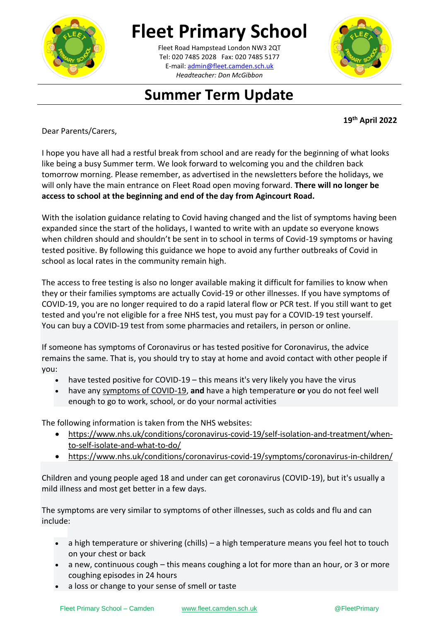

## **Fleet Primary School**

**\_\_\_\_\_\_\_\_\_\_[\\_\\_\\_\\_\\_\\_\\_\\_\\_\\_\\_\\_\\_](mailto:admin@fleet.camden.sch.uk)\_\_\_\_\_\_** E-mail: admin@fleet.camden.sch.uk Fleet Road Hampstead London NW3 2QT Tel: 020 7485 2028 Fax: 020 7485 5177 *Headteacher: Don McGibbon*



## **Summer Term Update**

**19th April 2022**

Dear Parents/Carers,

I hope you have all had a restful break from school and are ready for the beginning of what looks like being a busy Summer term. We look forward to welcoming you and the children back tomorrow morning. Please remember, as advertised in the newsletters before the holidays, we will only have the main entrance on Fleet Road open moving forward. **There will no longer be access to school at the beginning and end of the day from Agincourt Road.** 

With the isolation guidance relating to Covid having changed and the list of symptoms having been expanded since the start of the holidays, I wanted to write with an update so everyone knows when children should and shouldn't be sent in to school in terms of Covid-19 symptoms or having tested positive. By following this guidance we hope to avoid any further outbreaks of Covid in school as local rates in the community remain high.

The access to free testing is also no longer available making it difficult for families to know when they or their families symptoms are actually Covid-19 or other illnesses. If you have symptoms of COVID-19, you are no longer required to do a rapid lateral flow or PCR test. If you still want to get tested and you're not eligible for a free NHS test, you must pay for a COVID-19 test yourself. You can buy a COVID-19 test from some pharmacies and retailers, in person or online.

If someone has symptoms of Coronavirus or has tested positive for Coronavirus, the advice remains the same. That is, you should try to stay at home and avoid contact with other people if you:

- have tested positive for COVID-19 this means it's very likely you have the virus
- have any [symptoms of COVID-19,](https://www.nhs.uk/conditions/coronavirus-covid-19/symptoms/main-symptoms/) **and** have a high temperature **or** you do not feel well enough to go to work, school, or do your normal activities

The following information is taken from the NHS websites:

- [https://www.nhs.uk/conditions/coronavirus-covid-19/self-isolation-and-treatment/when](https://www.nhs.uk/conditions/coronavirus-covid-19/self-isolation-and-treatment/when-to-self-isolate-and-what-to-do/)[to-self-isolate-and-what-to-do/](https://www.nhs.uk/conditions/coronavirus-covid-19/self-isolation-and-treatment/when-to-self-isolate-and-what-to-do/)
- <https://www.nhs.uk/conditions/coronavirus-covid-19/symptoms/coronavirus-in-children/>

Children and young people aged 18 and under can get coronavirus (COVID-19), but it's usually a mild illness and most get better in a few days.

The symptoms are very similar to symptoms of other illnesses, such as colds and flu and can include:

- a high temperature or shivering (chills) a high temperature means you feel hot to touch on your chest or back
- a new, continuous cough this means coughing a lot for more than an hour, or 3 or more coughing episodes in 24 hours
- a loss or change to your sense of smell or taste